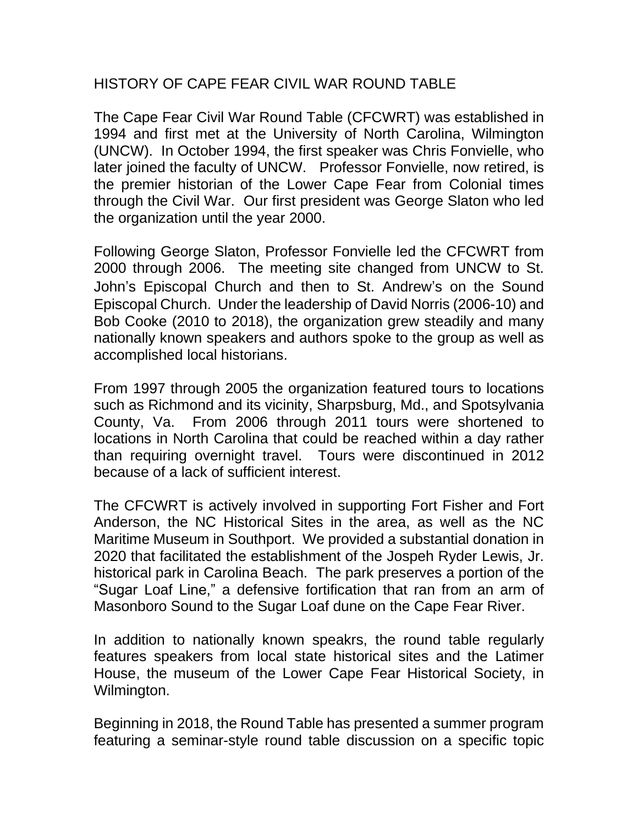## HISTORY OF CAPE FEAR CIVIL WAR ROUND TABLE

The Cape Fear Civil War Round Table (CFCWRT) was established in 1994 and first met at the University of North Carolina, Wilmington (UNCW). In October 1994, the first speaker was Chris Fonvielle, who later joined the faculty of UNCW. Professor Fonvielle, now retired, is the premier historian of the Lower Cape Fear from Colonial times through the Civil War. Our first president was George Slaton who led the organization until the year 2000.

Following George Slaton, Professor Fonvielle led the CFCWRT from 2000 through 2006. The meeting site changed from UNCW to St. John's Episcopal Church and then to St. Andrew's on the Sound Episcopal Church. Under the leadership of David Norris (2006-10) and Bob Cooke (2010 to 2018), the organization grew steadily and many nationally known speakers and authors spoke to the group as well as accomplished local historians.

From 1997 through 2005 the organization featured tours to locations such as Richmond and its vicinity, Sharpsburg, Md., and Spotsylvania County, Va. From 2006 through 2011 tours were shortened to locations in North Carolina that could be reached within a day rather than requiring overnight travel. Tours were discontinued in 2012 because of a lack of sufficient interest.

The CFCWRT is actively involved in supporting Fort Fisher and Fort Anderson, the NC Historical Sites in the area, as well as the NC Maritime Museum in Southport. We provided a substantial donation in 2020 that facilitated the establishment of the Jospeh Ryder Lewis, Jr. historical park in Carolina Beach. The park preserves a portion of the "Sugar Loaf Line," a defensive fortification that ran from an arm of Masonboro Sound to the Sugar Loaf dune on the Cape Fear River.

In addition to nationally known speakrs, the round table regularly features speakers from local state historical sites and the Latimer House, the museum of the Lower Cape Fear Historical Society, in Wilmington.

Beginning in 2018, the Round Table has presented a summer program featuring a seminar-style round table discussion on a specific topic